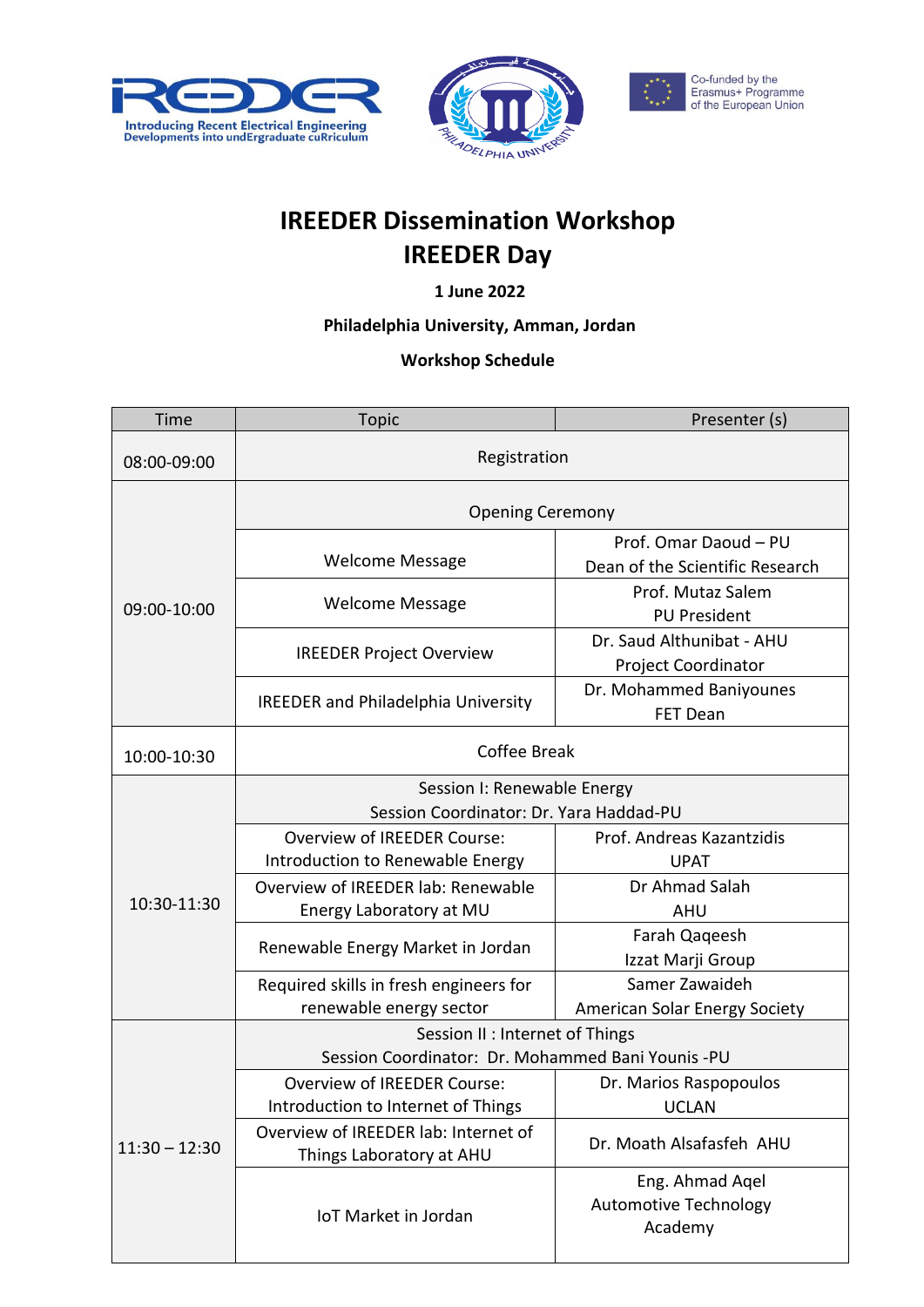





## **IREEDER Dissemination Workshop IREEDER Day**

**1 June 2022**

## **Philadelphia University, Amman, Jordan**

## **Workshop Schedule**

| <b>Time</b>     | <b>Topic</b>                                                           | Presenter (s)                                              |
|-----------------|------------------------------------------------------------------------|------------------------------------------------------------|
| 08:00-09:00     | Registration                                                           |                                                            |
| 09:00-10:00     | <b>Opening Ceremony</b>                                                |                                                            |
|                 | <b>Welcome Message</b>                                                 | Prof. Omar Daoud - PU<br>Dean of the Scientific Research   |
|                 | <b>Welcome Message</b>                                                 | Prof. Mutaz Salem<br><b>PU President</b>                   |
|                 | <b>IREEDER Project Overview</b>                                        | Dr. Saud Althunibat - AHU<br>Project Coordinator           |
|                 | <b>IREEDER and Philadelphia University</b>                             | Dr. Mohammed Baniyounes<br>FET Dean                        |
| 10:00-10:30     | <b>Coffee Break</b>                                                    |                                                            |
| 10:30-11:30     | Session I: Renewable Energy<br>Session Coordinator: Dr. Yara Haddad-PU |                                                            |
|                 | <b>Overview of IREEDER Course:</b><br>Introduction to Renewable Energy | Prof. Andreas Kazantzidis<br><b>UPAT</b>                   |
|                 | Overview of IREEDER lab: Renewable<br>Energy Laboratory at MU          | Dr Ahmad Salah<br><b>AHU</b>                               |
|                 | Renewable Energy Market in Jordan                                      | Farah Qaqeesh<br>Izzat Marji Group                         |
|                 | Required skills in fresh engineers for<br>renewable energy sector      | Samer Zawaideh<br>American Solar Energy Society            |
| $11:30 - 12:30$ | Session II : Internet of Things                                        |                                                            |
|                 | Session Coordinator: Dr. Mohammed Bani Younis -PU                      |                                                            |
|                 | Overview of IREEDER Course:<br>Introduction to Internet of Things      | Dr. Marios Raspopoulos<br><b>UCLAN</b>                     |
|                 | Overview of IREEDER lab: Internet of<br>Things Laboratory at AHU       | Dr. Moath Alsafasfeh AHU                                   |
|                 | <b>IoT Market in Jordan</b>                                            | Eng. Ahmad Aqel<br><b>Automotive Technology</b><br>Academy |